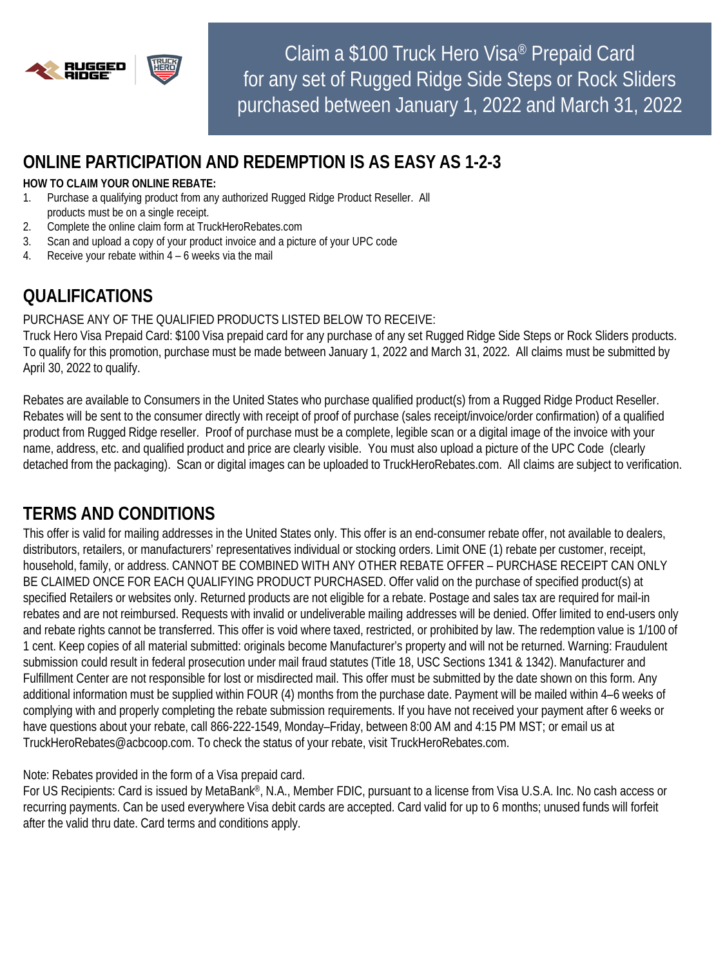

Claim a \$100 Truck Hero Visa® Prepaid Card for any set of Rugged Ridge Side Steps or Rock Sliders purchased between January 1, 2022 and March 31, 2022

## **ONLINE PARTICIPATION AND REDEMPTION IS AS EASY AS 1-2-3**

#### **HOW TO CLAIM YOUR ONLINE REBATE:**

- 1. Purchase a qualifying product from any authorized Rugged Ridge Product Reseller. All products must be on a single receipt.
- 2. Complete the online claim form at TruckHeroRebates.com
- 3. Scan and upload a copy of your product invoice and a picture of your UPC code
- 4. Receive your rebate within 4 6 weeks via the mail

# **QUALIFICATIONS**

### PURCHASE ANY OF THE QUALIFIED PRODUCTS LISTED BELOW TO RECEIVE:

Truck Hero Visa Prepaid Card: \$100 Visa prepaid card for any purchase of any set Rugged Ridge Side Steps or Rock Sliders products. To qualify for this promotion, purchase must be made between January 1, 2022 and March 31, 2022. All claims must be submitted by April 30, 2022 to qualify.

Rebates are available to Consumers in the United States who purchase qualified product(s) from a Rugged Ridge Product Reseller. Rebates will be sent to the consumer directly with receipt of proof of purchase (sales receipt/invoice/order confirmation) of a qualified product from Rugged Ridge reseller. Proof of purchase must be a complete, legible scan or a digital image of the invoice with your name, address, etc. and qualified product and price are clearly visible. You must also upload a picture of the UPC Code (clearly detached from the packaging). Scan or digital images can be uploaded to TruckHeroRebates.com. All claims are subject to verification.

# **TERMS AND CONDITIONS**

This offer is valid for mailing addresses in the United States only. This offer is an end-consumer rebate offer, not available to dealers, distributors, retailers, or manufacturers' representatives individual or stocking orders. Limit ONE (1) rebate per customer, receipt, household, family, or address. CANNOT BE COMBINED WITH ANY OTHER REBATE OFFER – PURCHASE RECEIPT CAN ONLY BE CLAIMED ONCE FOR EACH QUALIFYING PRODUCT PURCHASED. Offer valid on the purchase of specified product(s) at specified Retailers or websites only. Returned products are not eligible for a rebate. Postage and sales tax are required for mail-in rebates and are not reimbursed. Requests with invalid or undeliverable mailing addresses will be denied. Offer limited to end-users only and rebate rights cannot be transferred. This offer is void where taxed, restricted, or prohibited by law. The redemption value is 1/100 of 1 cent. Keep copies of all material submitted: originals become Manufacturer's property and will not be returned. Warning: Fraudulent submission could result in federal prosecution under mail fraud statutes (Title 18, USC Sections 1341 & 1342). Manufacturer and Fulfillment Center are not responsible for lost or misdirected mail. This offer must be submitted by the date shown on this form. Any additional information must be supplied within FOUR (4) months from the purchase date. Payment will be mailed within 4–6 weeks of complying with and properly completing the rebate submission requirements. If you have not received your payment after 6 weeks or have questions about your rebate, call 866-222-1549, Monday–Friday, between 8:00 AM and 4:15 PM MST; or email us at TruckHeroRebates@acbcoop.com. To check the status of your rebate, visit TruckHeroRebates.com.

Note: Rebates provided in the form of a Visa prepaid card.

For US Recipients: Card is issued by MetaBank®, N.A., Member FDIC, pursuant to a license from Visa U.S.A. Inc. No cash access or recurring payments. Can be used everywhere Visa debit cards are accepted. Card valid for up to 6 months; unused funds will forfeit after the valid thru date. Card terms and conditions apply.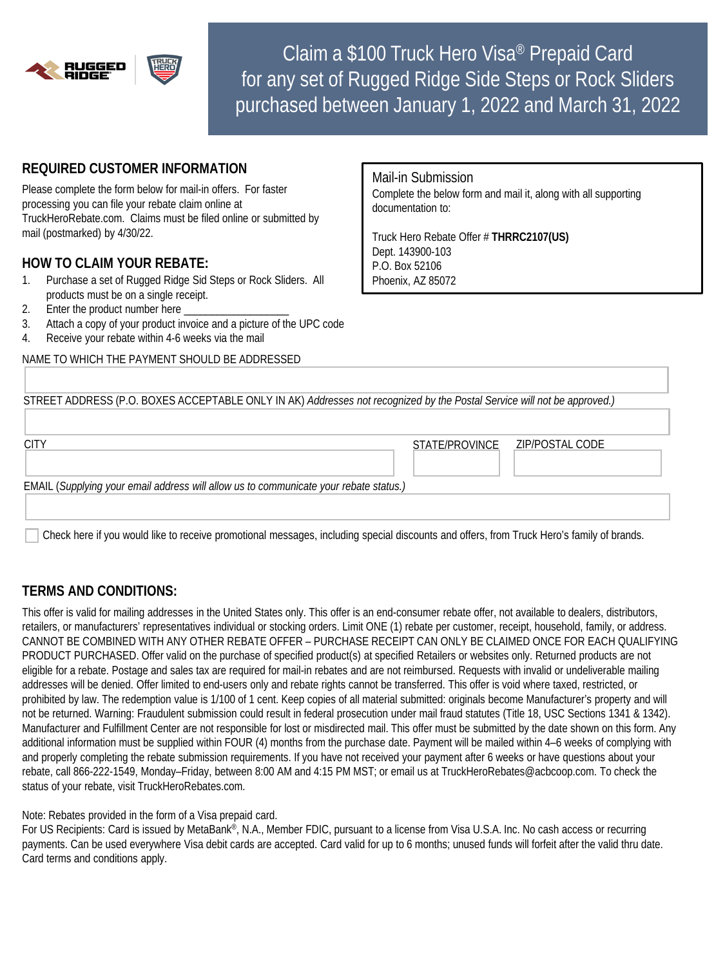

Claim a \$100 Truck Hero Visa® Prepaid Card for any set of Rugged Ridge Side Steps or Rock Sliders purchased between January 1, 2022 and March 31, 2022

### **REQUIRED CUSTOMER INFORMATION**

Please complete the form below for mail-in offers. For faster processing you can file your rebate claim online at TruckHeroRebate.com. Claims must be filed online or submitted by mail (postmarked) by 4/30/22.

### **HOW TO CLAIM YOUR REBATE:**

- 1. Purchase a set of Rugged Ridge Sid Steps or Rock Sliders. All products must be on a single receipt.
- 2. Enter the product number here
- 3. Attach a copy of your product invoice and a picture of the UPC code
- 4. Receive your rebate within 4-6 weeks via the mail

NAME TO WHICH THE PAYMENT SHOULD BE ADDRESSED

Mail-in Submission Complete the below form and mail it, along with all supporting documentation to:

Truck Hero Rebate Offer # **THRRC2107(US)** Dept. 143900-103 P.O. Box 52106 Phoenix, AZ 85072

| STREET ADDRESS (P.O. BOXES ACCEPTABLE ONLY IN AK) Addresses not recognized by the Postal Service will not be approved.) |                |                 |
|-------------------------------------------------------------------------------------------------------------------------|----------------|-----------------|
|                                                                                                                         |                |                 |
| <b>CITY</b>                                                                                                             | STATE/PROVINCE | ZIP/POSTAL CODE |
| EMAIL (Supplying your email address will allow us to communicate your rebate status.)                                   |                |                 |
|                                                                                                                         |                |                 |

Check here if you would like to receive promotional messages, including special discounts and offers, from Truck Hero's family of brands.

## **TERMS AND CONDITIONS:**

This offer is valid for mailing addresses in the United States only. This offer is an end-consumer rebate offer, not available to dealers, distributors, retailers, or manufacturers' representatives individual or stocking orders. Limit ONE (1) rebate per customer, receipt, household, family, or address. CANNOT BE COMBINED WITH ANY OTHER REBATE OFFER – PURCHASE RECEIPT CAN ONLY BE CLAIMED ONCE FOR EACH QUALIFYING PRODUCT PURCHASED. Offer valid on the purchase of specified product(s) at specified Retailers or websites only. Returned products are not eligible for a rebate. Postage and sales tax are required for mail-in rebates and are not reimbursed. Requests with invalid or undeliverable mailing addresses will be denied. Offer limited to end-users only and rebate rights cannot be transferred. This offer is void where taxed, restricted, or prohibited by law. The redemption value is 1/100 of 1 cent. Keep copies of all material submitted: originals become Manufacturer's property and will not be returned. Warning: Fraudulent submission could result in federal prosecution under mail fraud statutes (Title 18, USC Sections 1341 & 1342). Manufacturer and Fulfillment Center are not responsible for lost or misdirected mail. This offer must be submitted by the date shown on this form. Any additional information must be supplied within FOUR (4) months from the purchase date. Payment will be mailed within 4–6 weeks of complying with and properly completing the rebate submission requirements. If you have not received your payment after 6 weeks or have questions about your rebate, call 866-222-1549, Monday–Friday, between 8:00 AM and 4:15 PM MST; or email us at TruckHeroRebates@acbcoop.com. To check the status of your rebate, visit TruckHeroRebates.com.

Note: Rebates provided in the form of a Visa prepaid card.

For US Recipients: Card is issued by MetaBank®, N.A., Member FDIC, pursuant to a license from Visa U.S.A. Inc. No cash access or recurring payments. Can be used everywhere Visa debit cards are accepted. Card valid for up to 6 months; unused funds will forfeit after the valid thru date. Card terms and conditions apply.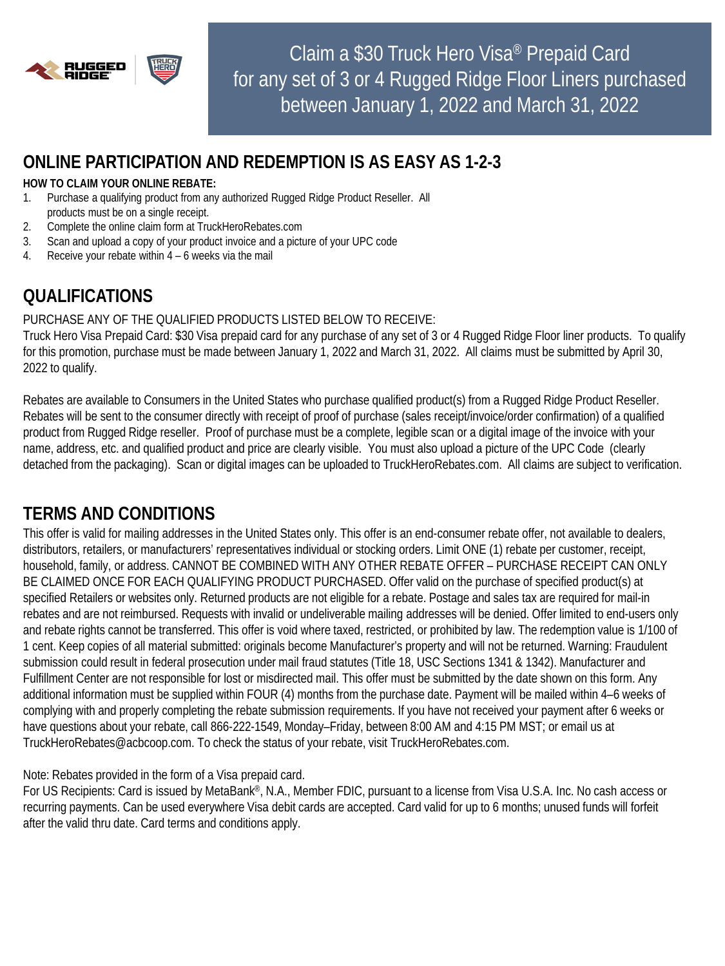

Claim a \$30 Truck Hero Visa® Prepaid Card for any set of 3 or 4 Rugged Ridge Floor Liners purchased between January 1, 2022 and March 31, 2022

## **ONLINE PARTICIPATION AND REDEMPTION IS AS EASY AS 1-2-3**

#### **HOW TO CLAIM YOUR ONLINE REBATE:**

- 1. Purchase a qualifying product from any authorized Rugged Ridge Product Reseller. All products must be on a single receipt.
- 2. Complete the online claim form at TruckHeroRebates.com
- 3. Scan and upload a copy of your product invoice and a picture of your UPC code
- 4. Receive your rebate within 4 6 weeks via the mail

# **QUALIFICATIONS**

### PURCHASE ANY OF THE QUALIFIED PRODUCTS LISTED BELOW TO RECEIVE:

Truck Hero Visa Prepaid Card: \$30 Visa prepaid card for any purchase of any set of 3 or 4 Rugged Ridge Floor liner products. To qualify for this promotion, purchase must be made between January 1, 2022 and March 31, 2022. All claims must be submitted by April 30, 2022 to qualify.

Rebates are available to Consumers in the United States who purchase qualified product(s) from a Rugged Ridge Product Reseller. Rebates will be sent to the consumer directly with receipt of proof of purchase (sales receipt/invoice/order confirmation) of a qualified product from Rugged Ridge reseller. Proof of purchase must be a complete, legible scan or a digital image of the invoice with your name, address, etc. and qualified product and price are clearly visible. You must also upload a picture of the UPC Code (clearly detached from the packaging). Scan or digital images can be uploaded to TruckHeroRebates.com. All claims are subject to verification.

# **TERMS AND CONDITIONS**

This offer is valid for mailing addresses in the United States only. This offer is an end-consumer rebate offer, not available to dealers, distributors, retailers, or manufacturers' representatives individual or stocking orders. Limit ONE (1) rebate per customer, receipt, household, family, or address. CANNOT BE COMBINED WITH ANY OTHER REBATE OFFER – PURCHASE RECEIPT CAN ONLY BE CLAIMED ONCE FOR EACH QUALIFYING PRODUCT PURCHASED. Offer valid on the purchase of specified product(s) at specified Retailers or websites only. Returned products are not eligible for a rebate. Postage and sales tax are required for mail-in rebates and are not reimbursed. Requests with invalid or undeliverable mailing addresses will be denied. Offer limited to end-users only and rebate rights cannot be transferred. This offer is void where taxed, restricted, or prohibited by law. The redemption value is 1/100 of 1 cent. Keep copies of all material submitted: originals become Manufacturer's property and will not be returned. Warning: Fraudulent submission could result in federal prosecution under mail fraud statutes (Title 18, USC Sections 1341 & 1342). Manufacturer and Fulfillment Center are not responsible for lost or misdirected mail. This offer must be submitted by the date shown on this form. Any additional information must be supplied within FOUR (4) months from the purchase date. Payment will be mailed within 4–6 weeks of complying with and properly completing the rebate submission requirements. If you have not received your payment after 6 weeks or have questions about your rebate, call 866-222-1549, Monday–Friday, between 8:00 AM and 4:15 PM MST; or email us at TruckHeroRebates@acbcoop.com. To check the status of your rebate, visit TruckHeroRebates.com.

Note: Rebates provided in the form of a Visa prepaid card.

For US Recipients: Card is issued by MetaBank®, N.A., Member FDIC, pursuant to a license from Visa U.S.A. Inc. No cash access or recurring payments. Can be used everywhere Visa debit cards are accepted. Card valid for up to 6 months; unused funds will forfeit after the valid thru date. Card terms and conditions apply.